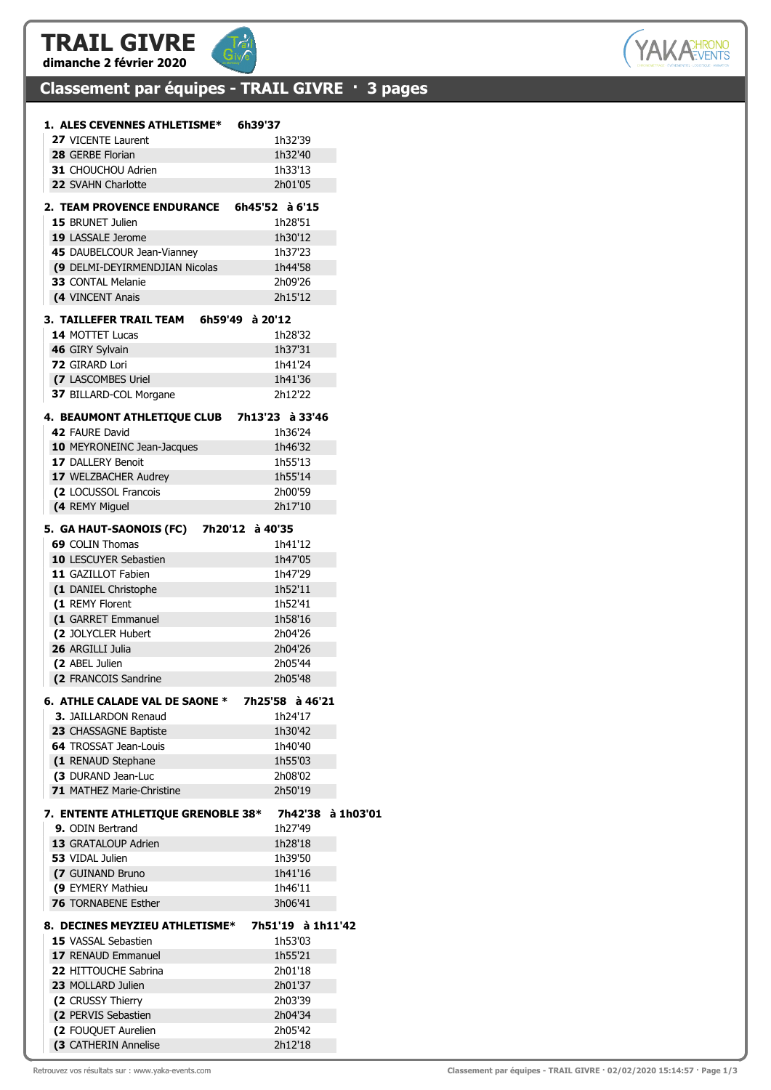### TRAIL GIVRE dimanche 2 février 2020



## Classement par équipes - TRAIL GIVRE · 3 pages

| 1. ALES CEVENNES ATHLETISME* 6h39'37        |                   |           |
|---------------------------------------------|-------------------|-----------|
| <b>27 VICENTE Laurent</b>                   | 1h32'39           |           |
| 28 GERBE Florian                            | 1h32'40           |           |
| 31 CHOUCHOU Adrien                          | 1h33'13           |           |
| 22 SVAHN Charlotte                          | 2h01'05           |           |
| 2. TEAM PROVENCE ENDURANCE 6h45'52 à 6'15   |                   |           |
| <b>15 BRUNET Julien</b>                     | 1h28'51           |           |
| 19 LASSALE Jerome                           | 1h30'12           |           |
| 45 DAUBELCOUR Jean-Vianney                  | 1h37'23           |           |
| (9 DELMI-DEYIRMENDJIAN Nicolas              | 1h44'58           |           |
| 33 CONTAL Melanie                           | 2h09'26           |           |
| (4 VINCENT Anais                            | 2h15'12           |           |
| 3. TAILLEFER TRAIL TEAM 6h59'49 à 20'12     |                   |           |
| 14 MOTTET Lucas                             | 1h28'32           |           |
| 46 GIRY Sylvain                             | 1h37'31           |           |
| 72 GIRARD Lori                              | 1h41'24           |           |
| (7 LASCOMBES Uriel                          | 1h41'36           |           |
| 37 BILLARD-COL Morgane                      | 2h12'22           |           |
| 4. BEAUMONT ATHLETIQUE CLUB 7h13'23 à 33'46 |                   |           |
| 42 FAURE David                              | 1h36'24           |           |
| 10 MEYRONEINC Jean-Jacques                  | 1h46'32           |           |
| 17 DALLERY Benoit                           | 1h55'13           |           |
| 17 WELZBACHER Audrey                        | 1h55'14           |           |
| (2 LOCUSSOL Francois                        | 2h00'59           |           |
| (4 REMY Miguel                              | 2h17'10           |           |
| 5. GA HAUT-SAONOIS (FC) 7h20'12 à 40'35     |                   |           |
| 69 COLIN Thomas                             | 1h41'12           |           |
| <b>10 LESCUYER Sebastien</b>                | 1h47'05           |           |
| 11 GAZILLOT Fabien                          | 1h47'29           |           |
| (1 DANIEL Christophe                        | 1h52'11           |           |
| (1 REMY Florent                             | 1h52'41           |           |
| (1 GARRET Emmanuel                          | 1h58'16           |           |
| (2 JOLYCLER Hubert                          | 2h04'26           |           |
| 26 ARGILLI Julia                            | 2h04'26           |           |
| (2 ABEL Julien                              | 2h05'44           |           |
| (2 FRANCOIS Sandrine                        | 2h05'48           |           |
| 6. ATHLE CALADE VAL DE SAONE *              | 7h25'58 à 46'21   |           |
| <b>3. JAILLARDON Renaud</b>                 | 1h24'17           |           |
| 23 CHASSAGNE Baptiste                       | 1h30'42           |           |
| <b>64 TROSSAT Jean-Louis</b>                | 1h40'40           |           |
| (1 RENAUD Stephane                          | 1h55'03           |           |
| (3 DURAND Jean-Luc                          | 2h08'02           |           |
| 71 MATHEZ Marie-Christine                   | 2h50'19           |           |
| 7. ENTENTE ATHLETIQUE GRENOBLE 38*          | 7h42'38           | à 1h03'01 |
| 9. ODIN Bertrand                            | 1h27'49           |           |
| 13 GRATALOUP Adrien                         | 1h28'18           |           |
| 53 VIDAL Julien                             | 1h39'50           |           |
| (7 GUINAND Bruno                            | 1h41'16           |           |
| (9 EYMERY Mathieu                           | 1h46'11           |           |
| 76 TORNABENE Esther                         | 3h06'41           |           |
| 8. DECINES MEYZIEU ATHLETISME*              | 7h51'19 à 1h11'42 |           |
| <b>15 VASSAL Sebastien</b>                  | 1h53'03           |           |
| 17 RENAUD Emmanuel                          | 1h55'21           |           |
| 22 HITTOUCHE Sabrina                        | 2h01'18           |           |
| 23 MOLLARD Julien                           | 2h01'37           |           |
| (2 CRUSSY Thierry                           | 2h03'39           |           |
| (2 PERVIS Sebastien                         | 2h04'34           |           |
| (2 FOUQUET Aurelien                         | 2h05'42           |           |
| (3 CATHERIN Annelise                        | 2h12'18           |           |

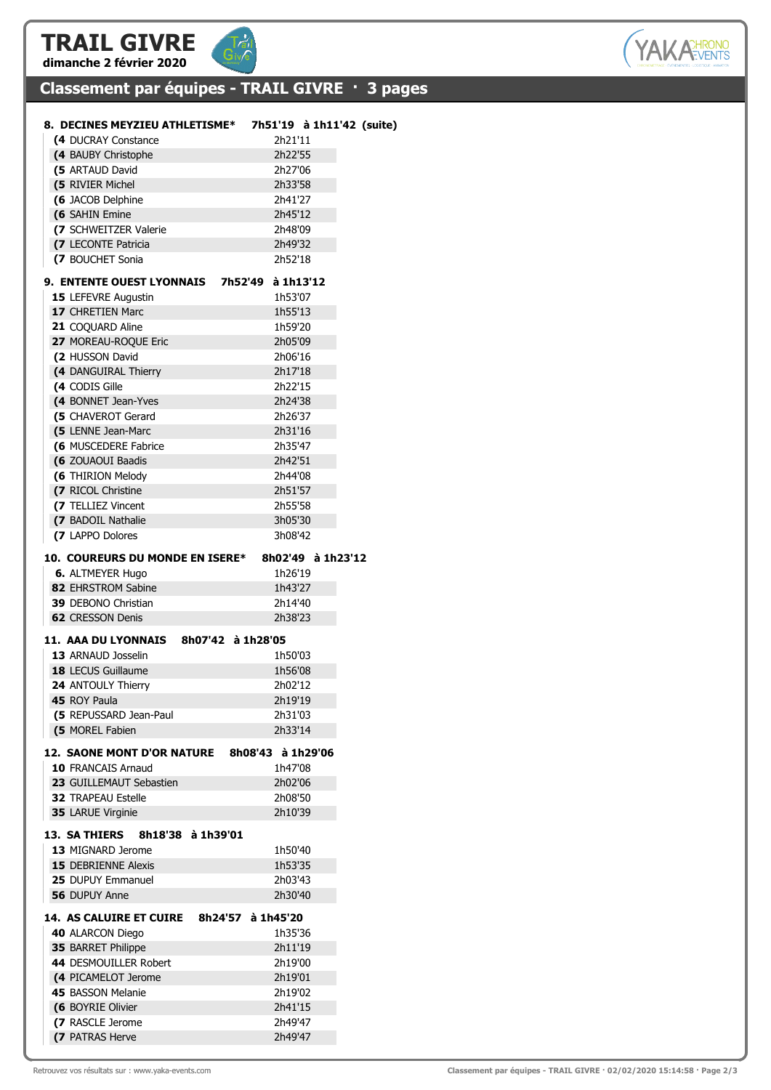## TRAIL GIVRE dimanche 2 février 2020



## Classement par équipes - TRAIL GIVRE · 3 pages

| 8. DECINES MEYZIEU ATHLETISME*               |                   |                   | 7h51'19 à 1h11'42 (suite) |
|----------------------------------------------|-------------------|-------------------|---------------------------|
| <b>(4 DUCRAY Constance</b>                   |                   | 2h21'11           |                           |
| (4 BAUBY Christophe                          |                   | 2h22'55           |                           |
| (5 ARTAUD David                              |                   | 2h27'06           |                           |
| <b>(5 RIVIER Michel)</b>                     |                   | 2h33'58           |                           |
| (6 JACOB Delphine                            |                   | 2h41'27           |                           |
| (6 SAHIN Emine                               |                   | 2h45'12           |                           |
| (7 SCHWEITZER Valerie                        |                   | 2h48'09           |                           |
| (7 LECONTE Patricia                          |                   | 2h49'32           |                           |
| (7 BOUCHET Sonia                             |                   | 2h52'18           |                           |
|                                              |                   |                   |                           |
| 9. ENTENTE OUEST LYONNAIS 7h52'49            |                   | à 1h13'12         |                           |
| 15 LEFEVRE Augustin                          |                   | 1h53'07           |                           |
| 17 CHRETIEN Marc                             |                   | 1h55'13           |                           |
| 21 COQUARD Aline                             |                   | 1h59'20           |                           |
| 27 MOREAU-ROQUE Eric                         |                   | 2h05'09           |                           |
| (2 HUSSON David                              |                   | 2h06'16           |                           |
| (4 DANGUIRAL Thierry                         |                   | 2h17'18           |                           |
| (4 CODIS Gille                               |                   | 2h22'15           |                           |
| (4 BONNET Jean-Yves                          |                   | 2h24'38           |                           |
| (5 CHAVEROT Gerard                           |                   | 2h26'37           |                           |
| (5 LENNE Jean-Marc                           |                   | 2h31'16           |                           |
| (6 MUSCEDERE Fabrice                         |                   | 2h35'47           |                           |
| (6 ZOUAOUI Baadis                            |                   | 2h42'51           |                           |
| (6 THIRION Melody                            |                   | 2h44'08           |                           |
| (7 RICOL Christine                           |                   | 2h51'57           |                           |
| (7 TELLIEZ Vincent                           |                   | 2h55'58           |                           |
| (7 BADOIL Nathalie                           |                   | 3h05'30           |                           |
| (7 LAPPO Dolores                             |                   | 3h08'42           |                           |
|                                              |                   |                   |                           |
| 10. COUREURS DU MONDE EN ISERE*              |                   | 8h02'49 à 1h23'12 |                           |
| <b>6. ALTMEYER Hugo</b>                      |                   | 1h26'19           |                           |
| 82 EHRSTROM Sabine                           |                   | 1h43'27           |                           |
| <b>39 DEBONO Christian</b>                   |                   | 2h14'40           |                           |
| <b>62 CRESSON Denis</b>                      |                   | 2h38'23           |                           |
| 11. AAA DU LYONNAIS 8h07'42 à 1h28'05        |                   |                   |                           |
| 13 ARNAUD Josselin                           |                   | 1h50'03           |                           |
| 18 LECUS Guillaume                           |                   | 1h56'08           |                           |
| 24 ANTOULY Thierry                           |                   | 2h02'12           |                           |
| 45 ROY Paula                                 |                   | 2h19'19           |                           |
| (5 REPUSSARD Jean-Paul                       |                   | 2h31'03           |                           |
| (5 MOREL Fabien                              |                   | 2h33'14           |                           |
|                                              |                   |                   |                           |
| 12. SAONE MONT D'OR NATURE 8h08'43 à 1h29'06 |                   |                   |                           |
| 10 FRANCAIS Arnaud                           |                   | 1h47'08           |                           |
| 23 GUILLEMAUT Sebastien                      |                   | 2h02'06           |                           |
| <b>32 TRAPEAU Estelle</b>                    |                   | 2h08'50           |                           |
| 35 LARUE Virginie                            |                   | 2h10'39           |                           |
| <b>13. SA THIERS</b><br>8h18'38 à 1h39'01    |                   |                   |                           |
| 13 MIGNARD Jerome                            |                   | 1h50'40           |                           |
|                                              |                   |                   |                           |
| <b>15 DEBRIENNE Alexis</b>                   |                   | 1h53'35           |                           |
| <b>25 DUPUY Emmanuel</b>                     |                   | 2h03'43           |                           |
| <b>56 DUPUY Anne</b>                         |                   | 2h30'40           |                           |
| <b>14. AS CALUIRE ET CUIRE</b>               | 8h24'57 à 1h45'20 |                   |                           |
| 40 ALARCON Diego                             |                   | 1h35'36           |                           |
| <b>35 BARRET Philippe</b>                    |                   | 2h11'19           |                           |
| 44 DESMOUILLER Robert                        |                   | 2h19'00           |                           |
| (4 PICAMELOT Jerome                          |                   | 2h19'01           |                           |
| 45 BASSON Melanie                            |                   | 2h19'02           |                           |
| (6 BOYRIE Olivier                            |                   | 2h41'15           |                           |
| (7 RASCLE Jerome                             |                   | 2h49'47           |                           |
| (7 PATRAS Herve                              |                   | 2h49'47           |                           |
|                                              |                   |                   |                           |